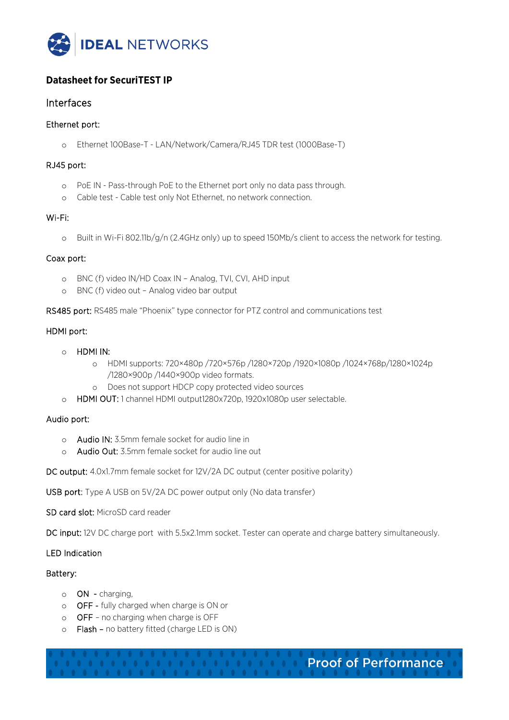

# **Datasheet for SecuriTEST IP**

# Interfaces

### Ethernet port:

o Ethernet 100Base-T - LAN/Network/Camera/RJ45 TDR test (1000Base-T)

### RJ45 port:

- o PoE IN Pass-through PoE to the Ethernet port only no data pass through.
- o Cable test Cable test only Not Ethernet, no network connection.

### Wi-Fi:

o Built in Wi-Fi 802.11b/g/n (2.4GHz only) up to speed 150Mb/s client to access the network for testing.

### Coax port:

- o BNC (f) video IN/HD Coax IN Analog, TVI, CVI, AHD input
- o BNC (f) video out Analog video bar output

RS485 port: RS485 male "Phoenix" type connector for PTZ control and communications test

# HDMI port:

- o HDMI IN:
	- o HDMI supports: 720×480p /720×576p /1280×720p /1920×1080p /1024×768p/1280×1024p /1280×900p /1440×900p video formats.
	- o Does not support HDCP copy protected video sources
- o HDMI OUT: 1 channel HDMI output1280x720p, 1920x1080p user selectable.

# Audio port:

- o Audio IN: 3.5mm female socket for audio line in
- o Audio Out: 3.5mm female socket for audio line out

DC output: 4.0x1.7mm female socket for 12V/2A DC output (center positive polarity)

USB port: Type A USB on 5V/2A DC power output only (No data transfer)

SD card slot: MicroSD card reader

DC input: 12V DC charge port with 5.5x2.1mm socket. Tester can operate and charge battery simultaneously.

# LED Indication

# Battery:

- o ON charging,
- o OFF fully charged when charge is ON or
- o OFF no charging when charge is OFF
- o Flash no battery fitted (charge LED is ON)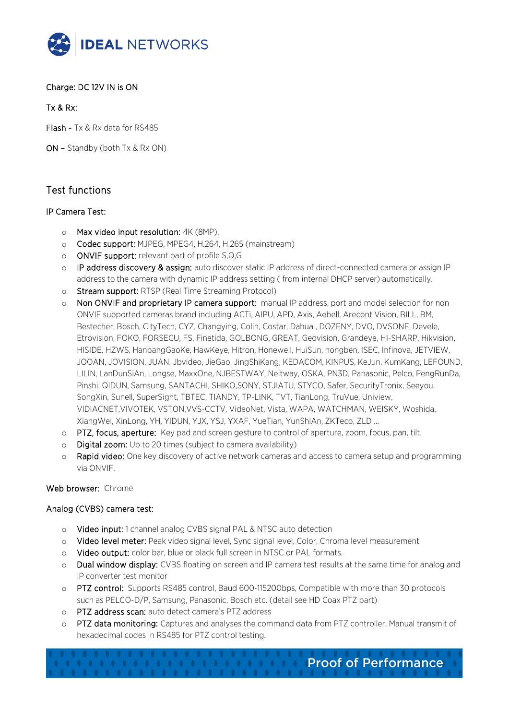

# Charge: DC 12V IN is ON

Tx & Rx:

Flash - Tx & Rx data for RS485

ON – Standby (both Tx & Rx ON)

# Test functions

### IP Camera Test:

- o Max video input resolution: 4K (8MP).
- o Codec support: MJPEG, MPEG4, H.264, H.265 (mainstream)
- o ONVIF support: relevant part of profile S,Q,G
- o IP address discovery & assign: auto discover static IP address of direct-connected camera or assign IP address to the camera with dynamic IP address setting ( from internal DHCP server) automatically.
- o Stream support: RTSP (Real Time Streaming Protocol)
- o Non ONVIF and proprietary IP camera support: manual IP address, port and model selection for non ONVIF supported cameras brand including ACTi, AIPU, APD, Axis, Aebell, Arecont Vision, BILL, BM, Bestecher, Bosch, CityTech, CYZ, Changying, Colin, Costar, Dahua , DOZENY, DVO, DVSONE, Devele, Etrovision, FOKO, FORSECU, FS, Finetida, GOLBONG, GREAT, Geovision, Grandeye, HI-SHARP, Hikvision, HISIDE, HZWS, HanbangGaoKe, HawKeye, Hitron, Honewell, HuiSun, hongben, ISEC, Infinova, JETVIEW, JOOAN, JOVISION, JUAN, Jbvideo, JieGao, JingShiKang, KEDACOM, KINPUS, KeJun, KumKang, LEFOUND, LILIN, LanDunSiAn, Longse, MaxxOne, NJBESTWAY, Neitway, OSKA, PN3D, Panasonic, Pelco, PengRunDa, Pinshi, QIDUN, Samsung, SANTACHI, SHIKO,SONY, STJIATU, STYCO, Safer, SecurityTronix, Seeyou, SongXin, Sunell, SuperSight, TBTEC, TIANDY, TP-LINK, TVT, TianLong, TruVue, Uniview, VIDIACNET,VIVOTEK, VSTON,VVS-CCTV, VideoNet, Vista, WAPA, WATCHMAN, WEISKY, Woshida, XiangWei, XinLong, YH, YIDUN, YJX, YSJ, YXAF, YueTian, YunShiAn, ZKTeco, ZLD …
- o PTZ, focus, aperture: Key pad and screen gesture to control of aperture, zoom, focus, pan, tilt.
- o Digital zoom: Up to 20 times (subject to camera availability)
- o Rapid video: One key discovery of active network cameras and access to camera setup and programming via ONVIF.

#### Web browser: Chrome

#### Analog (CVBS) camera test:

- o Video input: 1 channel analog CVBS signal PAL & NTSC auto detection
- o Video level meter: Peak video signal level, Sync signal level, Color, Chroma level measurement
- o Video output: color bar, blue or black full screen in NTSC or PAL formats.
- o Dual window display: CVBS floating on screen and IP camera test results at the same time for analog and IP converter test monitor
- o PTZ control: Supports RS485 control, Baud 600-115200bps, Compatible with more than 30 protocols such as PELCO-D/P, Samsung, Panasonic, Bosch etc. (detail see HD Coax PTZ part)
- o PTZ address scan: auto detect camera's PTZ address
- o PTZ data monitoring: Captures and analyses the command data from PTZ controller. Manual transmit of hexadecimal codes in RS485 for PTZ control testing.

**CONTROL CONTROL CONTROL CONTROL Proof of Performance**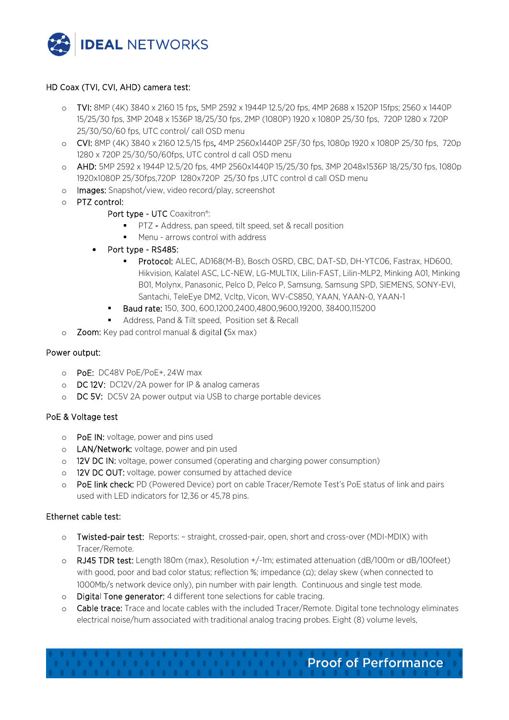

# HD Coax (TVI, CVI, AHD) camera test:

- o TVI: 8MP (4K) 3840 x 2160 15 fps, 5MP 2592 x 1944P 12.5/20 fps, 4MP 2688 x 1520P 15fps; 2560 x 1440P 15/25/30 fps, 3MP 2048 x 1536P 18/25/30 fps, 2MP (1080P) 1920 x 1080P 25/30 fps, 720P 1280 x 720P 25/30/50/60 fps, UTC control/ call OSD menu
- o CVI: 8MP (4K) 3840 x 2160 12.5/15 fps, 4MP 2560x1440P 25F/30 fps, 1080p 1920 x 1080P 25/30 fps, 720p 1280 x 720P 25/30/50/60fps, UTC control d call OSD menu
- o AHD: 5MP 2592 x 1944P 12.5/20 fps, 4MP 2560x1440P 15/25/30 fps, 3MP 2048x1536P 18/25/30 fps, 1080p 1920x1080P 25/30fps,720P 1280x720P 25/30 fps ,UTC control d call OSD menu
- o Images: Snapshot/view, video record/play, screenshot
- o PTZ control:

# Port type - UTC Coaxitron<sup>®</sup>:

- **PTZ Address, pan speed, tilt speed, set & recall position**
- Menu arrows control with address
- Port type RS485:
	- Protocol: ALEC, AD168(M-B), Bosch OSRD, CBC, DAT-SD, DH-YTC06, Fastrax, HD600, Hikvision, Kalatel ASC, LC-NEW, LG-MULTIX, Lilin-FAST, Lilin-MLP2, Minking A01, Minking B01, Molynx, Panasonic, Pelco D, Pelco P, Samsung, Samsung SPD, SIEMENS, SONY-EVI, Santachi, TeleEye DM2, Vcltp, Vicon, WV-CS850, YAAN, YAAN-0, YAAN-1
	- Baud rate: 150, 300, 600,1200,2400,4800,9600,19200, 38400,115200
	- Address, Pand & Tilt speed, Position set & Recall
- o Zoom: Key pad control manual & digital (5x max)

### Power output:

- o PoE: DC48V PoE/PoE+, 24W max
- o DC 12V: DC12V/2A power for IP & analog cameras
- o DC 5V: DC5V 2A power output via USB to charge portable devices

# PoE & Voltage test

- o PoE IN: voltage, power and pins used
- o LAN/Network: voltage, power and pin used
- o 12V DC IN: voltage, power consumed (operating and charging power consumption)
- o 12V DC OUT: voltage, power consumed by attached device
- o PoE link check: PD (Powered Device) port on cable Tracer/Remote Test's PoE status of link and pairs used with LED indicators for 12,36 or 45,78 pins.

# Ethernet cable test:

- o Twisted-pair test: Reports: straight, crossed-pair, open, short and cross-over (MDI-MDIX) with Tracer/Remote.
- o RJ45 TDR test: Length 180m (max), Resolution +/-1m; estimated attenuation (dB/100m or dB/100feet) with good, poor and bad color status; reflection %; impedance (Ω); delay skew (when connected to 1000Mb/s network device only), pin number with pair length. Continuous and single test mode.
- o Digital Tone generator: 4 different tone selections for cable tracing.
- o Cable trace: Trace and locate cables with the included Tracer/Remote. Digital tone technology eliminates electrical noise/hum associated with traditional analog tracing probes. Eight (8) volume levels,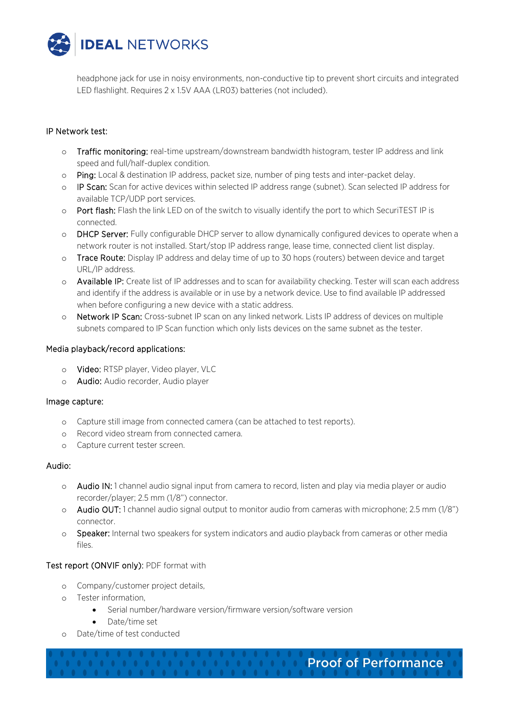

headphone jack for use in noisy environments, non-conductive tip to prevent short circuits and integrated LED flashlight. Requires 2 x 1.5V AAA (LR03) batteries (not included).

#### IP Network test:

- o Traffic monitoring: real-time upstream/downstream bandwidth histogram, tester IP address and link speed and full/half-duplex condition.
- o Ping: Local & destination IP address, packet size, number of ping tests and inter-packet delay.
- o IP Scan: Scan for active devices within selected IP address range (subnet). Scan selected IP address for available TCP/UDP port services.
- o Port flash: Flash the link LED on of the switch to visually identify the port to which SecuriTEST IP is connected.
- o DHCP Server: Fully configurable DHCP server to allow dynamically configured devices to operate when a network router is not installed. Start/stop IP address range, lease time, connected client list display.
- o Trace Route: Display IP address and delay time of up to 30 hops (routers) between device and target URL/IP address.
- o Available IP: Create list of IP addresses and to scan for availability checking. Tester will scan each address and identify if the address is available or in use by a network device. Use to find available IP addressed when before configuring a new device with a static address.
- o Network IP Scan: Cross-subnet IP scan on any linked network. Lists IP address of devices on multiple subnets compared to IP Scan function which only lists devices on the same subnet as the tester.

#### Media playback/record applications:

- o Video: RTSP player, Video player, VLC
- o Audio: Audio recorder, Audio player

#### Image capture:

- o Capture still image from connected camera (can be attached to test reports).
- o Record video stream from connected camera.
- o Capture current tester screen.

#### Audio:

- o Audio IN: 1 channel audio signal input from camera to record, listen and play via media player or audio recorder/player; 2.5 mm (1/8") connector.
- o Audio OUT: 1 channel audio signal output to monitor audio from cameras with microphone; 2.5 mm (1/8") connector.
- o Speaker: Internal two speakers for system indicators and audio playback from cameras or other media files.

#### Test report (ONVIF only): PDF format with

- o Company/customer project details,
- o Tester information,
	- Serial number/hardware version/firmware version/software version
	- Date/time set
- Date/time of test conducted

**CONTROLLER CONTROLLER STATE Proof of Performance**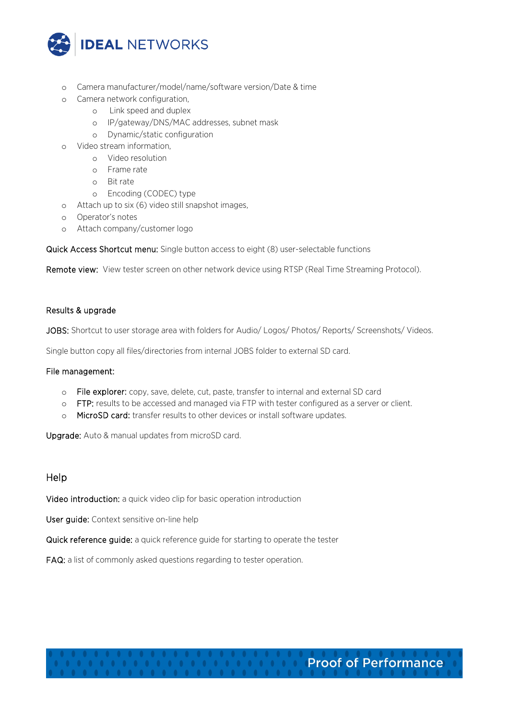

- o Camera manufacturer/model/name/software version/Date & time
- o Camera network configuration,
	- o Link speed and duplex
		- o IP/gateway/DNS/MAC addresses, subnet mask
	- o Dynamic/static configuration
- o Video stream information,
	- o Video resolution
	- o Frame rate
	- o Bit rate
	- o Encoding (CODEC) type
- o Attach up to six (6) video still snapshot images,
- o Operator's notes
- o Attach company/customer logo

Quick Access Shortcut menu: Single button access to eight (8) user-selectable functions

Remote view: View tester screen on other network device using RTSP (Real Time Streaming Protocol).

### Results & upgrade

JOBS: Shortcut to user storage area with folders for Audio/ Logos/ Photos/ Reports/ Screenshots/ Videos.

Single button copy all files/directories from internal JOBS folder to external SD card.

#### File management:

- o File explorer: copy, save, delete, cut, paste, transfer to internal and external SD card
- o FTP: results to be accessed and managed via FTP with tester configured as a server or client.
- o MicroSD card: transfer results to other devices or install software updates.

Upgrade: Auto & manual updates from microSD card.

# **Help**

Video introduction: a quick video clip for basic operation introduction

User guide: Context sensitive on-line help

Quick reference guide: a quick reference guide for starting to operate the tester

FAQ: a list of commonly asked questions regarding to tester operation.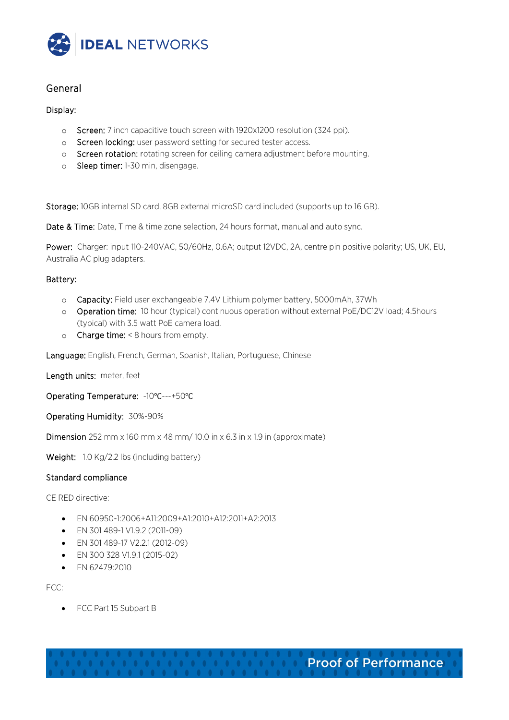

# General

Display:

- o Screen: 7 inch capacitive touch screen with 1920x1200 resolution (324 ppi).
- o Screen locking: user password setting for secured tester access.
- o Screen rotation: rotating screen for ceiling camera adjustment before mounting.
- o Sleep timer: 1-30 min, disengage.

Storage: 10GB internal SD card, 8GB external microSD card included (supports up to 16 GB).

Date & Time: Date, Time & time zone selection, 24 hours format, manual and auto sync.

Power: Charger: input 110-240VAC, 50/60Hz, 0.6A; output 12VDC, 2A, centre pin positive polarity; US, UK, EU, Australia AC plug adapters.

### Battery:

- o Capacity: Field user exchangeable 7.4V Lithium polymer battery, 5000mAh, 37Wh
- o Operation time: 10 hour (typical) continuous operation without external PoE/DC12V load; 4.5hours (typical) with 3.5 watt PoE camera load.
- o Charge time: < 8 hours from empty.

Language: English, French, German, Spanish, Italian, Portuguese, Chinese

Length units: meter, feet

Operating Temperature: -10℃---+50℃

Operating Humidity: 30%-90%

**Dimension** 252 mm x 160 mm x 48 mm/ 10.0 in x 6.3 in x 1.9 in (approximate)

Weight: 1.0 Kg/2.2 lbs (including battery)

#### Standard compliance

CE RED directive:

- EN 60950-1:2006+A11:2009+A1:2010+A12:2011+A2:2013
- FN 301 489-1 V1.9.2 (2011-09)
- EN 301 489-17 V2.2.1 (2012-09)
- EN 300 328 V1.9.1 (2015-02)
- EN 62479:2010

FCC:

• FCC Part 15 Subpart B